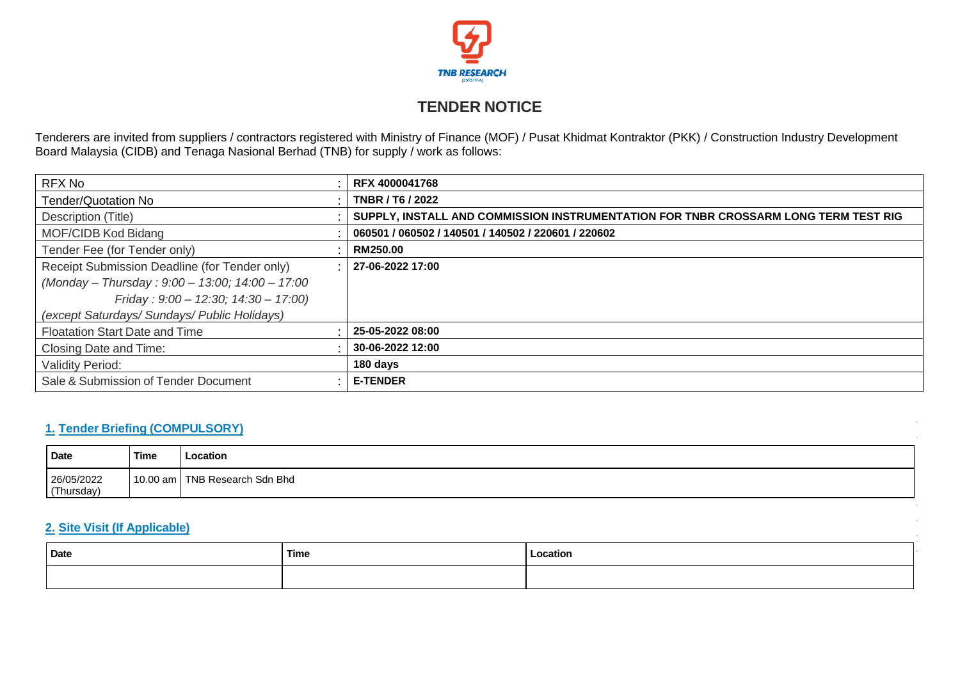

# **TENDER NOTICE**

Tenderers are invited from suppliers / contractors registered with Ministry of Finance (MOF) / Pusat Khidmat Kontraktor (PKK) / Construction Industry Development Board Malaysia (CIDB) and Tenaga Nasional Berhad (TNB) for supply / work as follows:

| RFX No                                          | <b>RFX 4000041768</b>                                                               |
|-------------------------------------------------|-------------------------------------------------------------------------------------|
| <b>Tender/Quotation No</b>                      | <b>TNBR / T6 / 2022</b>                                                             |
| Description (Title)                             | SUPPLY, INSTALL AND COMMISSION INSTRUMENTATION FOR TNBR CROSSARM LONG TERM TEST RIG |
| MOF/CIDB Kod Bidang                             | 060501 / 060502 / 140501 / 140502 / 220601 / 220602                                 |
| Tender Fee (for Tender only)                    | RM250.00                                                                            |
| Receipt Submission Deadline (for Tender only)   | 27-06-2022 17:00                                                                    |
| (Monday - Thursday: 9:00 - 13:00; 14:00 - 17:00 |                                                                                     |
| Friday: $9:00 - 12:30$ ; $14:30 - 17:00$ )      |                                                                                     |
| (except Saturdays/ Sundays/ Public Holidays)    |                                                                                     |
| Floatation Start Date and Time                  | 25-05-2022 08:00                                                                    |
| Closing Date and Time:                          | 30-06-2022 12:00                                                                    |
| <b>Validity Period:</b>                         | 180 days                                                                            |
| Sale & Submission of Tender Document            | <b>E-TENDER</b>                                                                     |

### **1. Tender Briefing (COMPULSORY)**

| Date                       | <b>Time</b> | ocation                               |
|----------------------------|-------------|---------------------------------------|
| 26/05/2022<br>hursday<br>T | 10<br>am    | ⊦ Bhd<br>NII<br><b>Sidr</b><br>nonroh |

## **2. Site Visit (If Applicable)**

| Date | <b>Time</b> | Location |
|------|-------------|----------|
|      |             |          |